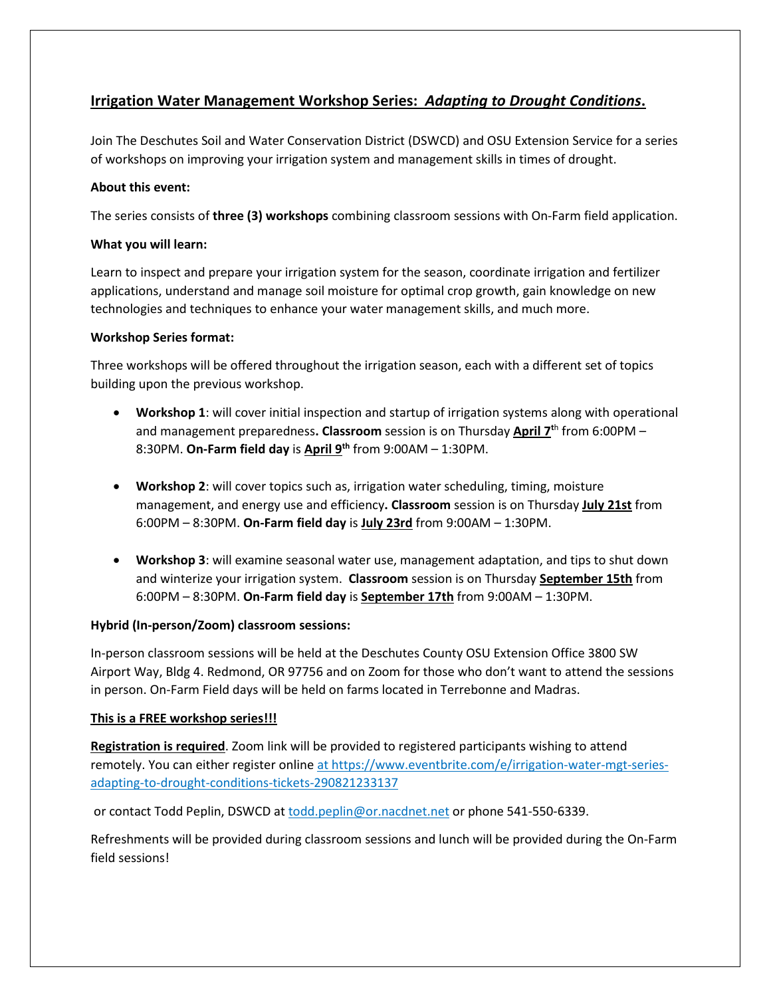# **Irrigation Water Management Workshop Series:** *Adapting to Drought Conditions***.**

Join The Deschutes Soil and Water Conservation District (DSWCD) and OSU Extension Service for a series of workshops on improving your irrigation system and management skills in times of drought.

# **About this event:**

The series consists of **three (3) workshops** combining classroom sessions with On-Farm field application.

# **What you will learn:**

Learn to inspect and prepare your irrigation system for the season, coordinate irrigation and fertilizer applications, understand and manage soil moisture for optimal crop growth, gain knowledge on new technologies and techniques to enhance your water management skills, and much more.

### **Workshop Series format:**

Three workshops will be offered throughout the irrigation season, each with a different set of topics building upon the previous workshop.

- **Workshop 1**: will cover initial inspection and startup of irrigation systems along with operational and management preparedness**. Classroom** session is on Thursday **April 7t**<sup>h</sup> from 6:00PM – 8:30PM. **On-Farm field day** is **April 9th** from 9:00AM – 1:30PM.
- **Workshop 2**: will cover topics such as, irrigation water scheduling, timing, moisture management, and energy use and efficiency**. Classroom** session is on Thursday **July 21st** from 6:00PM – 8:30PM. **On-Farm field day** is **July 23rd** from 9:00AM – 1:30PM.
- **Workshop 3**: will examine seasonal water use, management adaptation, and tips to shut down and winterize your irrigation system. **Classroom** session is on Thursday **September 15th** from 6:00PM – 8:30PM. **On-Farm field day** is **September 17th** from 9:00AM – 1:30PM.

# **Hybrid (In-person/Zoom) classroom sessions:**

In-person classroom sessions will be held at the Deschutes County OSU Extension Office 3800 SW Airport Way, Bldg 4. Redmond, OR 97756 and on Zoom for those who don't want to attend the sessions in person. On-Farm Field days will be held on farms located in Terrebonne and Madras.

# **This is a FREE workshop series!!!**

**Registration is required**. Zoom link will be provided to registered participants wishing to attend remotely. You can either register online [at https://www.eventbrite.com/e/irrigation-water-mgt-series](file://usda.net/NRCS/home/ORRED/NRCS/Todd.Peplin/Desktop/at%20https:/www.eventbrite.com/e/irrigation-water-mgt-series-adapting-to-drought-conditions-tickets-290821233137)[adapting-to-drought-conditions-tickets-290821233137](file://usda.net/NRCS/home/ORRED/NRCS/Todd.Peplin/Desktop/at%20https:/www.eventbrite.com/e/irrigation-water-mgt-series-adapting-to-drought-conditions-tickets-290821233137)

or contact Todd Peplin, DSWCD at todd.peplin@or.nacdnet.net or phone 541-550-6339.

Refreshments will be provided during classroom sessions and lunch will be provided during the On-Farm field sessions!